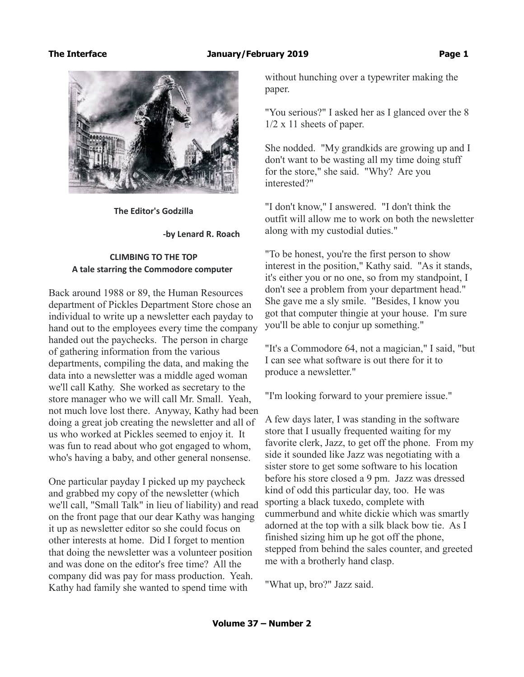## **The Interface The Interface Accord Control Control Control Control Control Control Control Control Control Control Control Control Control Control Control Control Control Control Control Control Control Control Control Co**



**The Editor's Godzilla**

**-by Lenard R. Roach**

## **CLIMBING TO THE TOP A tale starring the Commodore computer**

Back around 1988 or 89, the Human Resources department of Pickles Department Store chose an individual to write up a newsletter each payday to hand out to the employees every time the company handed out the paychecks. The person in charge of gathering information from the various departments, compiling the data, and making the data into a newsletter was a middle aged woman we'll call Kathy. She worked as secretary to the store manager who we will call Mr. Small. Yeah, not much love lost there. Anyway, Kathy had been doing a great job creating the newsletter and all of us who worked at Pickles seemed to enjoy it. It was fun to read about who got engaged to whom, who's having a baby, and other general nonsense.

One particular payday I picked up my paycheck and grabbed my copy of the newsletter (which we'll call, "Small Talk" in lieu of liability) and read on the front page that our dear Kathy was hanging it up as newsletter editor so she could focus on other interests at home. Did I forget to mention that doing the newsletter was a volunteer position and was done on the editor's free time? All the company did was pay for mass production. Yeah. Kathy had family she wanted to spend time with

without hunching over a typewriter making the paper.

"You serious?" I asked her as I glanced over the 8 1/2 x 11 sheets of paper.

She nodded. "My grandkids are growing up and I don't want to be wasting all my time doing stuff for the store," she said. "Why? Are you interested?"

"I don't know," I answered. "I don't think the outfit will allow me to work on both the newsletter along with my custodial duties."

"To be honest, you're the first person to show interest in the position," Kathy said. "As it stands, it's either you or no one, so from my standpoint, I don't see a problem from your department head." She gave me a sly smile. "Besides, I know you got that computer thingie at your house. I'm sure you'll be able to conjur up something."

"It's a Commodore 64, not a magician," I said, "but I can see what software is out there for it to produce a newsletter."

"I'm looking forward to your premiere issue."

A few days later, I was standing in the software store that I usually frequented waiting for my favorite clerk, Jazz, to get off the phone. From my side it sounded like Jazz was negotiating with a sister store to get some software to his location before his store closed a 9 pm. Jazz was dressed kind of odd this particular day, too. He was sporting a black tuxedo, complete with cummerbund and white dickie which was smartly adorned at the top with a silk black bow tie. As I finished sizing him up he got off the phone, stepped from behind the sales counter, and greeted me with a brotherly hand clasp.

"What up, bro?" Jazz said.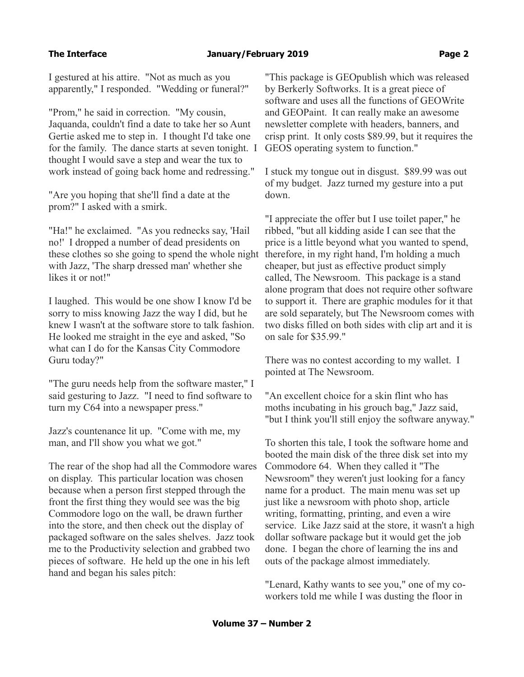I gestured at his attire. "Not as much as you apparently," I responded. "Wedding or funeral?"

"Prom," he said in correction. "My cousin, Jaquanda, couldn't find a date to take her so Aunt Gertie asked me to step in. I thought I'd take one for the family. The dance starts at seven tonight. I thought I would save a step and wear the tux to work instead of going back home and redressing."

"Are you hoping that she'll find a date at the prom?" I asked with a smirk.

"Ha!" he exclaimed. "As you rednecks say, 'Hail no!' I dropped a number of dead presidents on these clothes so she going to spend the whole night with Jazz, 'The sharp dressed man' whether she likes it or not!"

I laughed. This would be one show I know I'd be sorry to miss knowing Jazz the way I did, but he knew I wasn't at the software store to talk fashion. He looked me straight in the eye and asked, "So what can I do for the Kansas City Commodore Guru today?"

"The guru needs help from the software master," I said gesturing to Jazz. "I need to find software to turn my C64 into a newspaper press."

Jazz's countenance lit up. "Come with me, my man, and I'll show you what we got."

The rear of the shop had all the Commodore wares on display. This particular location was chosen because when a person first stepped through the front the first thing they would see was the big Commodore logo on the wall, be drawn further into the store, and then check out the display of packaged software on the sales shelves. Jazz took me to the Productivity selection and grabbed two pieces of software. He held up the one in his left hand and began his sales pitch:

"This package is GEOpublish which was released by Berkerly Softworks. It is a great piece of software and uses all the functions of GEOWrite and GEOPaint. It can really make an awesome newsletter complete with headers, banners, and crisp print. It only costs \$89.99, but it requires the GEOS operating system to function."

I stuck my tongue out in disgust. \$89.99 was out of my budget. Jazz turned my gesture into a put down.

"I appreciate the offer but I use toilet paper," he ribbed, "but all kidding aside I can see that the price is a little beyond what you wanted to spend, therefore, in my right hand, I'm holding a much cheaper, but just as effective product simply called, The Newsroom. This package is a stand alone program that does not require other software to support it. There are graphic modules for it that are sold separately, but The Newsroom comes with two disks filled on both sides with clip art and it is on sale for \$35.99."

There was no contest according to my wallet. I pointed at The Newsroom.

"An excellent choice for a skin flint who has moths incubating in his grouch bag," Jazz said, "but I think you'll still enjoy the software anyway."

To shorten this tale, I took the software home and booted the main disk of the three disk set into my Commodore 64. When they called it "The Newsroom" they weren't just looking for a fancy name for a product. The main menu was set up just like a newsroom with photo shop, article writing, formatting, printing, and even a wire service. Like Jazz said at the store, it wasn't a high dollar software package but it would get the job done. I began the chore of learning the ins and outs of the package almost immediately.

"Lenard, Kathy wants to see you," one of my coworkers told me while I was dusting the floor in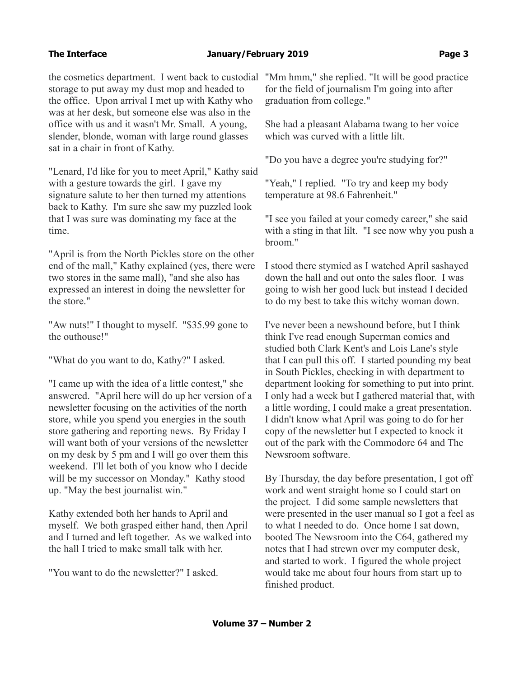the cosmetics department. I went back to custodial storage to put away my dust mop and headed to the office. Upon arrival I met up with Kathy who was at her desk, but someone else was also in the office with us and it wasn't Mr. Small. A young, slender, blonde, woman with large round glasses sat in a chair in front of Kathy.

"Lenard, I'd like for you to meet April," Kathy said with a gesture towards the girl. I gave my signature salute to her then turned my attentions back to Kathy. I'm sure she saw my puzzled look that I was sure was dominating my face at the time.

"April is from the North Pickles store on the other end of the mall," Kathy explained (yes, there were two stores in the same mall), "and she also has expressed an interest in doing the newsletter for the store."

"Aw nuts!" I thought to myself. "\$35.99 gone to the outhouse!"

"What do you want to do, Kathy?" I asked.

"I came up with the idea of a little contest," she answered. "April here will do up her version of a newsletter focusing on the activities of the north store, while you spend you energies in the south store gathering and reporting news. By Friday I will want both of your versions of the newsletter on my desk by 5 pm and I will go over them this weekend. I'll let both of you know who I decide will be my successor on Monday." Kathy stood up. "May the best journalist win."

Kathy extended both her hands to April and myself. We both grasped either hand, then April and I turned and left together. As we walked into the hall I tried to make small talk with her.

"You want to do the newsletter?" I asked.

"Mm hmm," she replied. "It will be good practice for the field of journalism I'm going into after graduation from college."

She had a pleasant Alabama twang to her voice which was curved with a little lilt.

"Do you have a degree you're studying for?"

"Yeah," I replied. "To try and keep my body temperature at 98.6 Fahrenheit."

"I see you failed at your comedy career," she said with a sting in that lilt. "I see now why you push a broom."

I stood there stymied as I watched April sashayed down the hall and out onto the sales floor. I was going to wish her good luck but instead I decided to do my best to take this witchy woman down.

I've never been a newshound before, but I think think I've read enough Superman comics and studied both Clark Kent's and Lois Lane's style that I can pull this off. I started pounding my beat in South Pickles, checking in with department to department looking for something to put into print. I only had a week but I gathered material that, with a little wording, I could make a great presentation. I didn't know what April was going to do for her copy of the newsletter but I expected to knock it out of the park with the Commodore 64 and The Newsroom software.

By Thursday, the day before presentation, I got off work and went straight home so I could start on the project. I did some sample newsletters that were presented in the user manual so I got a feel as to what I needed to do. Once home I sat down, booted The Newsroom into the C64, gathered my notes that I had strewn over my computer desk, and started to work. I figured the whole project would take me about four hours from start up to finished product.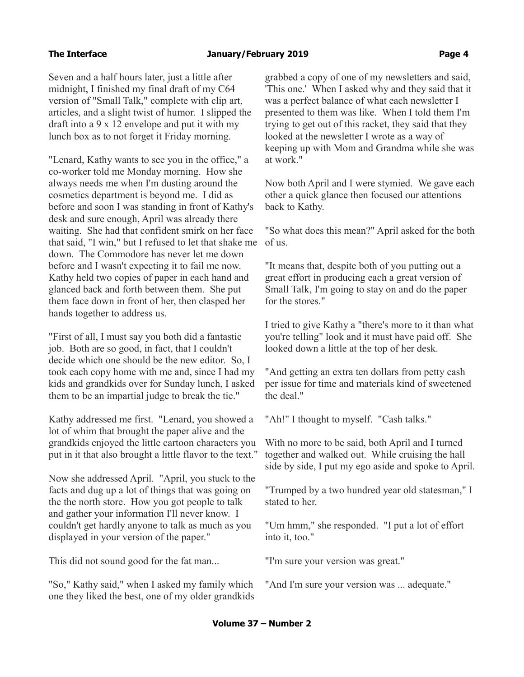Seven and a half hours later, just a little after midnight, I finished my final draft of my C64 version of "Small Talk," complete with clip art, articles, and a slight twist of humor. I slipped the draft into a 9 x 12 envelope and put it with my lunch box as to not forget it Friday morning.

"Lenard, Kathy wants to see you in the office," a co-worker told me Monday morning. How she always needs me when I'm dusting around the cosmetics department is beyond me. I did as before and soon I was standing in front of Kathy's desk and sure enough, April was already there waiting. She had that confident smirk on her face that said, "I win," but I refused to let that shake me down. The Commodore has never let me down before and I wasn't expecting it to fail me now. Kathy held two copies of paper in each hand and glanced back and forth between them. She put them face down in front of her, then clasped her hands together to address us.

"First of all, I must say you both did a fantastic job. Both are so good, in fact, that I couldn't decide which one should be the new editor. So, I took each copy home with me and, since I had my kids and grandkids over for Sunday lunch, I asked them to be an impartial judge to break the tie."

Kathy addressed me first. "Lenard, you showed a lot of whim that brought the paper alive and the grandkids enjoyed the little cartoon characters you put in it that also brought a little flavor to the text."

Now she addressed April. "April, you stuck to the facts and dug up a lot of things that was going on the the north store. How you got people to talk and gather your information I'll never know. I couldn't get hardly anyone to talk as much as you displayed in your version of the paper."

This did not sound good for the fat man...

"So," Kathy said," when I asked my family which one they liked the best, one of my older grandkids grabbed a copy of one of my newsletters and said, 'This one.' When I asked why and they said that it was a perfect balance of what each newsletter I presented to them was like. When I told them I'm trying to get out of this racket, they said that they looked at the newsletter I wrote as a way of keeping up with Mom and Grandma while she was at work."

Now both April and I were stymied. We gave each other a quick glance then focused our attentions back to Kathy.

"So what does this mean?" April asked for the both of us.

"It means that, despite both of you putting out a great effort in producing each a great version of Small Talk, I'm going to stay on and do the paper for the stores."

I tried to give Kathy a "there's more to it than what you're telling" look and it must have paid off. She looked down a little at the top of her desk.

"And getting an extra ten dollars from petty cash per issue for time and materials kind of sweetened the deal."

"Ah!" I thought to myself. "Cash talks."

With no more to be said, both April and I turned together and walked out. While cruising the hall side by side, I put my ego aside and spoke to April.

"Trumped by a two hundred year old statesman," I stated to her.

"Um hmm," she responded. "I put a lot of effort into it, too."

"I'm sure your version was great."

"And I'm sure your version was ... adequate."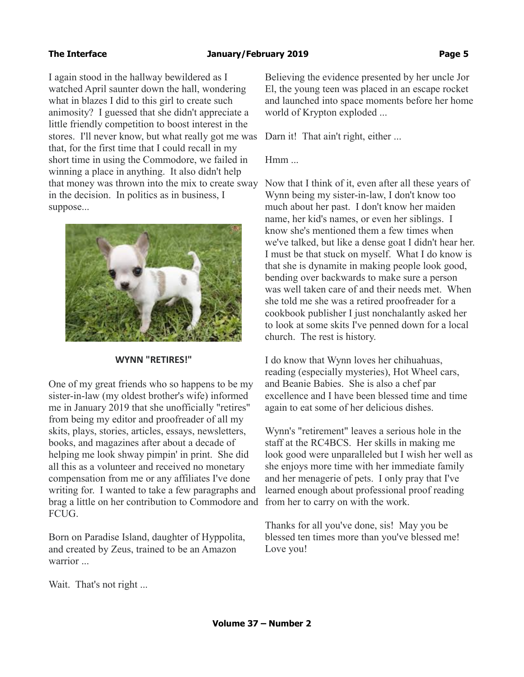## The Interface **Contract Contract Contract Contract Contract Contract Contract Contract Contract Contract Page 5**

I again stood in the hallway bewildered as I watched April saunter down the hall, wondering what in blazes I did to this girl to create such animosity? I guessed that she didn't appreciate a little friendly competition to boost interest in the stores. I'll never know, but what really got me was Darn it! That ain't right, either ... that, for the first time that I could recall in my short time in using the Commodore, we failed in winning a place in anything. It also didn't help that money was thrown into the mix to create sway in the decision. In politics as in business, I suppose...



## **WYNN "RETIRES!"**

One of my great friends who so happens to be my sister-in-law (my oldest brother's wife) informed me in January 2019 that she unofficially "retires" from being my editor and proofreader of all my skits, plays, stories, articles, essays, newsletters, books, and magazines after about a decade of helping me look shway pimpin' in print. She did all this as a volunteer and received no monetary compensation from me or any affiliates I've done writing for. I wanted to take a few paragraphs and brag a little on her contribution to Commodore and FCUG.

Born on Paradise Island, daughter of Hyppolita, and created by Zeus, trained to be an Amazon warrior ...

Believing the evidence presented by her uncle Jor El, the young teen was placed in an escape rocket and launched into space moments before her home world of Krypton exploded ...

Hmm ...

Now that I think of it, even after all these years of Wynn being my sister-in-law, I don't know too much about her past. I don't know her maiden name, her kid's names, or even her siblings. I know she's mentioned them a few times when we've talked, but like a dense goat I didn't hear her. I must be that stuck on myself. What I do know is that she is dynamite in making people look good, bending over backwards to make sure a person was well taken care of and their needs met. When she told me she was a retired proofreader for a cookbook publisher I just nonchalantly asked her to look at some skits I've penned down for a local church. The rest is history.

I do know that Wynn loves her chihuahuas, reading (especially mysteries), Hot Wheel cars, and Beanie Babies. She is also a chef par excellence and I have been blessed time and time again to eat some of her delicious dishes.

Wynn's "retirement" leaves a serious hole in the staff at the RC4BCS. Her skills in making me look good were unparalleled but I wish her well as she enjoys more time with her immediate family and her menagerie of pets. I only pray that I've learned enough about professional proof reading from her to carry on with the work.

Thanks for all you've done, sis! May you be blessed ten times more than you've blessed me! Love you!

Wait. That's not right ...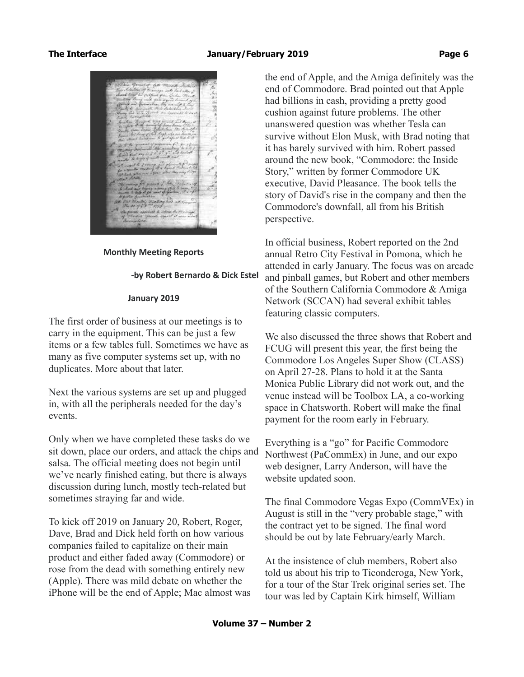

**Monthly Meeting Reports**

**-by Robert Bernardo & Dick Estel**

### **January 2019**

The first order of business at our meetings is to carry in the equipment. This can be just a few items or a few tables full. Sometimes we have as many as five computer systems set up, with no duplicates. More about that later.

Next the various systems are set up and plugged in, with all the peripherals needed for the day's events.

Only when we have completed these tasks do we sit down, place our orders, and attack the chips and salsa. The official meeting does not begin until we've nearly finished eating, but there is always discussion during lunch, mostly tech-related but sometimes straying far and wide.

To kick off 2019 on January 20, Robert, Roger, Dave, Brad and Dick held forth on how various companies failed to capitalize on their main product and either faded away (Commodore) or rose from the dead with something entirely new (Apple). There was mild debate on whether the iPhone will be the end of Apple; Mac almost was the end of Apple, and the Amiga definitely was the end of Commodore. Brad pointed out that Apple had billions in cash, providing a pretty good cushion against future problems. The other unanswered question was whether Tesla can survive without Elon Musk, with Brad noting that it has barely survived with him. Robert passed around the new book, "Commodore: the Inside Story," written by former Commodore UK executive, David Pleasance. The book tells the story of David's rise in the company and then the Commodore's downfall, all from his British perspective.

In official business, Robert reported on the 2nd annual Retro City Festival in Pomona, which he attended in early January. The focus was on arcade and pinball games, but Robert and other members of the Southern California Commodore & Amiga Network (SCCAN) had several exhibit tables featuring classic computers.

We also discussed the three shows that Robert and FCUG will present this year, the first being the Commodore Los Angeles Super Show (CLASS) on April 27-28. Plans to hold it at the Santa Monica Public Library did not work out, and the venue instead will be Toolbox LA, a co-working space in Chatsworth. Robert will make the final payment for the room early in February.

Everything is a "go" for Pacific Commodore Northwest (PaCommEx) in June, and our expo web designer, Larry Anderson, will have the website updated soon.

The final Commodore Vegas Expo (CommVEx) in August is still in the "very probable stage," with the contract yet to be signed. The final word should be out by late February/early March.

At the insistence of club members, Robert also told us about his trip to Ticonderoga, New York, for a tour of the Star Trek original series set. The tour was led by Captain Kirk himself, William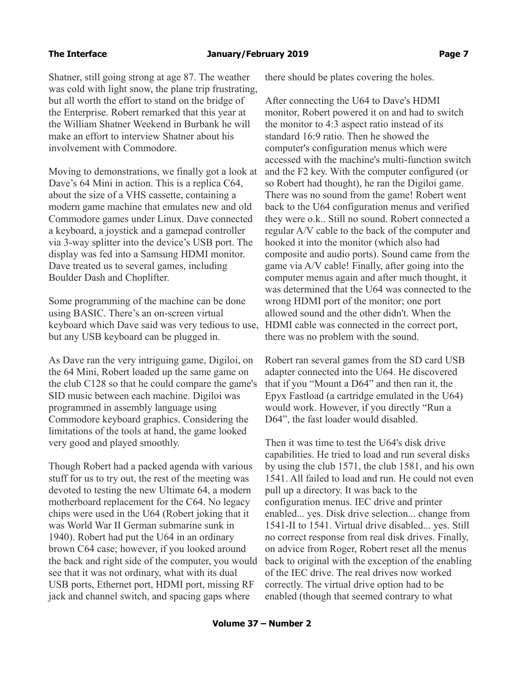Shatner, still going strong at age 87. The weather was cold with light snow, the plane trip frustrating, but all worth the effort to stand on the bridge of the Enterprise. Robert remarked that this year at the William Shatner Weekend in Burbank he will make an effort to interview Shatner about his involvement with Commodore.

Moving to demonstrations, we finally got a look at Dave's 64 Mini in action. This is a replica C64, about the size of a VHS cassette, containing a modern game machine that emulates new and old Commodore games under Linux. Dave connected a keyboard, a joystick and a gamepad controller via 3-way splitter into the device's USB port. The display was fed into a Samsung HDMI monitor. Dave treated us to several games, including Boulder Dash and Choplifter.

Some programming of the machine can be done using BASIC. There's an on-screen virtual keyboard which Dave said was very tedious to use, but any USB keyboard can be plugged in.

As Dave ran the very intriguing game, Digiloi, on the 64 Mini, Robert loaded up the same game on the club C128 so that he could compare the game's SID music between each machine. Digiloi was programmed in assembly language using Commodore keyboard graphics. Considering the limitations of the tools at hand, the game looked very good and played smoothly.

Though Robert had a packed agenda with various stuff for us to try out, the rest of the meeting was devoted to testing the new Ultimate 64, a modern motherboard replacement for the C64. No legacy chips were used in the U64 (Robert joking that it was World War II German submarine sunk in 1940). Robert had put the U64 in an ordinary brown C64 case; however, if you looked around the back and right side of the computer, you would see that it was not ordinary, what with its dual USB ports, Ethernet port, HDMI port, missing RF jack and channel switch, and spacing gaps where

there should be plates covering the holes.

After connecting the U64 to Dave's HDMI monitor, Robert powered it on and had to switch the monitor to 4:3 aspect ratio instead of its standard 16:9 ratio. Then he showed the computer's configuration menus which were accessed with the machine's multi-function switch and the F2 key. With the computer configured (or so Robert had thought), he ran the Digiloi game. There was no sound from the game! Robert went back to the U64 configuration menus and verified they were o.k.. Still no sound. Robert connected a regular A/V cable to the back of the computer and hooked it into the monitor (which also had composite and audio ports). Sound came from the game via A/V cable! Finally, after going into the computer menus again and after much thought, it was determined that the U64 was connected to the wrong HDMI port of the monitor; one port allowed sound and the other didn't. When the HDMI cable was connected in the correct port, there was no problem with the sound.

Robert ran several games from the SD card USB adapter connected into the U64. He discovered that if you "Mount a D64" and then ran it, the Epyx Fastload (a cartridge emulated in the U64) would work. However, if you directly "Run a D64", the fast loader would disabled.

Then it was time to test the U64's disk drive capabilities. He tried to load and run several disks by using the club 1571, the club 1581, and his own 1541. All failed to load and run. He could not even pull up a directory. It was back to the configuration menus. IEC drive and printer enabled... yes. Disk drive selection... change from 1541-II to 1541. Virtual drive disabled... yes. Still no correct response from real disk drives. Finally, on advice from Roger, Robert reset all the menus back to original with the exception of the enabling of the IEC drive. The real drives now worked correctly. The virtual drive option had to be enabled (though that seemed contrary to what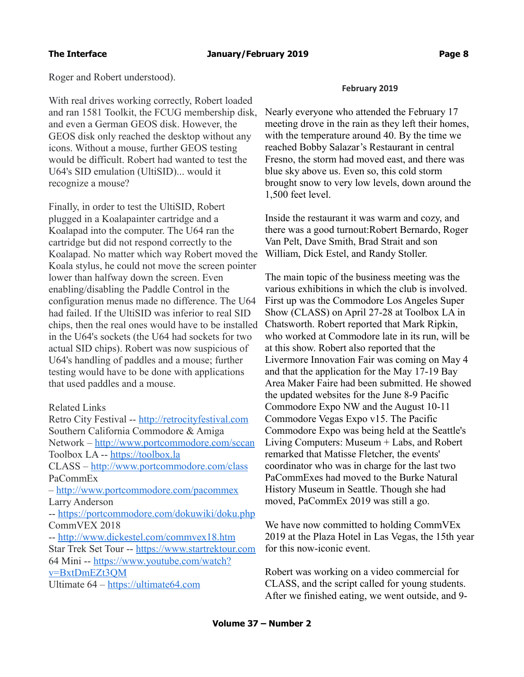Roger and Robert understood).

With real drives working correctly, Robert loaded and ran 1581 Toolkit, the FCUG membership disk, and even a German GEOS disk. However, the GEOS disk only reached the desktop without any icons. Without a mouse, further GEOS testing would be difficult. Robert had wanted to test the U64's SID emulation (UltiSID)... would it recognize a mouse?

Finally, in order to test the UltiSID, Robert plugged in a Koalapainter cartridge and a Koalapad into the computer. The U64 ran the cartridge but did not respond correctly to the Koalapad. No matter which way Robert moved the Koala stylus, he could not move the screen pointer lower than halfway down the screen. Even enabling/disabling the Paddle Control in the configuration menus made no difference. The U64 had failed. If the UltiSID was inferior to real SID chips, then the real ones would have to be installed in the U64's sockets (the U64 had sockets for two actual SID chips). Robert was now suspicious of U64's handling of paddles and a mouse; further testing would have to be done with applications that used paddles and a mouse.

# Related Links

Retro City Festival -- [http://retrocityfestival.com](http://retrocityfestival.com/) Southern California Commodore & Amiga Network – <http://www.portcommodore.com/sccan> Toolbox LA -- [https://toolbox.la](https://toolbox.la/) CLASS – <http://www.portcommodore.com/class> PaCommEx – <http://www.portcommodore.com/pacommex> Larry Anderson -- <https://portcommodore.com/dokuwiki/doku.php> CommVEX 2018 -- <http://www.dickestel.com/commvex18.htm> Star Trek Set Tour -- [https://www.startrektour.com](https://www.startrektour.com/) 64 Mini -- [https://www.youtube.com/watch?](https://www.youtube.com/watch?v=BxtDmEZt3QM) [v=BxtDmEZt3QM](https://www.youtube.com/watch?v=BxtDmEZt3QM) Ultimate 64 – [https://ultimate64.com](https://ultimate64.com/)

## **February 2019**

Nearly everyone who attended the February 17 meeting drove in the rain as they left their homes, with the temperature around 40. By the time we reached Bobby Salazar's Restaurant in central Fresno, the storm had moved east, and there was blue sky above us. Even so, this cold storm brought snow to very low levels, down around the 1,500 feet level.

Inside the restaurant it was warm and cozy, and there was a good turnout:Robert Bernardo, Roger Van Pelt, Dave Smith, Brad Strait and son William, Dick Estel, and Randy Stoller.

The main topic of the business meeting was the various exhibitions in which the club is involved. First up was the Commodore Los Angeles Super Show (CLASS) on April 27-28 at Toolbox LA in Chatsworth. Robert reported that Mark Ripkin, who worked at Commodore late in its run, will be at this show. Robert also reported that the Livermore Innovation Fair was coming on May 4 and that the application for the May 17-19 Bay Area Maker Faire had been submitted. He showed the updated websites for the June 8-9 Pacific Commodore Expo NW and the August 10-11 Commodore Vegas Expo v15. The Pacific Commodore Expo was being held at the Seattle's Living Computers: Museum + Labs, and Robert remarked that Matisse Fletcher, the events' coordinator who was in charge for the last two PaCommExes had moved to the Burke Natural History Museum in Seattle. Though she had moved, PaCommEx 2019 was still a go.

We have now committed to holding CommVEx 2019 at the Plaza Hotel in Las Vegas, the 15th year for this now-iconic event.

Robert was working on a video commercial for CLASS, and the script called for young students. After we finished eating, we went outside, and 9-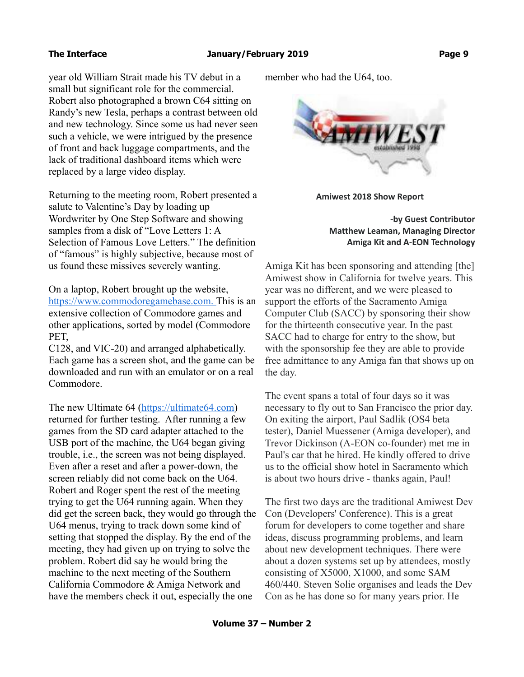## **The Interface The Construction Construction Construction Construction Construction Construction Construction Construction Page 9**

year old William Strait made his TV debut in a small but significant role for the commercial. Robert also photographed a brown C64 sitting on Randy's new Tesla, perhaps a contrast between old and new technology. Since some us had never seen such a vehicle, we were intrigued by the presence of front and back luggage compartments, and the lack of traditional dashboard items which were replaced by a large video display.

Returning to the meeting room, Robert presented a salute to Valentine's Day by loading up Wordwriter by One Step Software and showing samples from a disk of "Love Letters 1: A Selection of Famous Love Letters." The definition of "famous" is highly subjective, because most of us found these missives severely wanting.

On a laptop, Robert brought up the website,  [https://www.commodoregamebase.com.](https://www.commodoregamebase.com./) This is an extensive collection of Commodore games and other applications, sorted by model (Commodore PET,

C128, and VIC-20) and arranged alphabetically. Each game has a screen shot, and the game can be downloaded and run with an emulator or on a real Commodore.

The new Ultimate 64 [\(https://ultimate64.com\)](https://ultimate64.com/) returned for further testing. After running a few games from the SD card adapter attached to the USB port of the machine, the U64 began giving trouble, i.e., the screen was not being displayed. Even after a reset and after a power-down, the screen reliably did not come back on the U64. Robert and Roger spent the rest of the meeting trying to get the U64 running again. When they did get the screen back, they would go through the U64 menus, trying to track down some kind of setting that stopped the display. By the end of the meeting, they had given up on trying to solve the problem. Robert did say he would bring the machine to the next meeting of the Southern California Commodore & Amiga Network and have the members check it out, especially the one

member who had the U64, too.



**Amiwest 2018 Show Report**

**-by Guest Contributor Matthew Leaman, Managing Director Amiga Kit and A-EON Technology**

Amiga Kit has been sponsoring and attending [the] Amiwest show in California for twelve years. This year was no different, and we were pleased to support the efforts of the Sacramento Amiga Computer Club (SACC) by sponsoring their show for the thirteenth consecutive year. In the past SACC had to charge for entry to the show, but with the sponsorship fee they are able to provide free admittance to any Amiga fan that shows up on the day.

The event spans a total of four days so it was necessary to fly out to San Francisco the prior day. On exiting the airport, Paul Sadlik (OS4 beta tester), Daniel Muessener (Amiga developer), and Trevor Dickinson (A-EON co-founder) met me in Paul's car that he hired. He kindly offered to drive us to the official show hotel in Sacramento which is about two hours drive - thanks again, Paul!

The first two days are the traditional Amiwest Dev Con (Developers' Conference). This is a great forum for developers to come together and share ideas, discuss programming problems, and learn about new development techniques. There were about a dozen systems set up by attendees, mostly consisting of X5000, X1000, and some SAM 460/440. Steven Solie organises and leads the Dev Con as he has done so for many years prior. He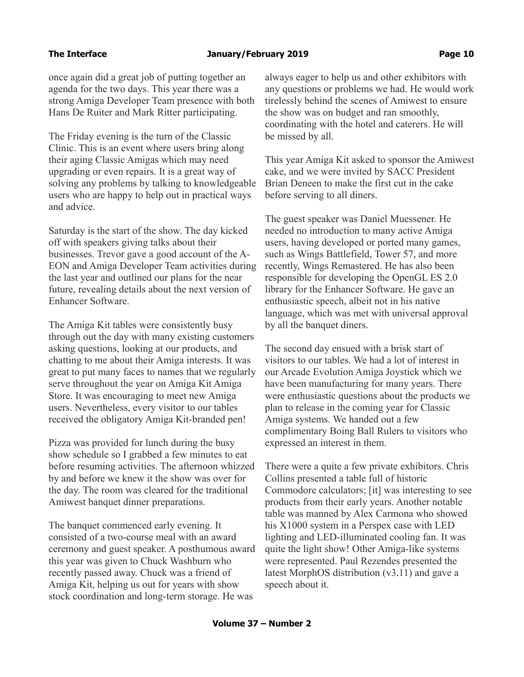## **The Interface The Construction Construction Construction Construction Construction Construction Construction Page 10**

once again did a great job of putting together an agenda for the two days. This year there was a strong Amiga Developer Team presence with both Hans De Ruiter and Mark Ritter participating.

The Friday evening is the turn of the Classic Clinic. This is an event where users bring along their aging Classic Amigas which may need upgrading or even repairs. It is a great way of solving any problems by talking to knowledgeable users who are happy to help out in practical ways and advice.

Saturday is the start of the show. The day kicked off with speakers giving talks about their businesses. Trevor gave a good account of the A-EON and Amiga Developer Team activities during the last year and outlined our plans for the near future, revealing details about the next version of Enhancer Software.

The Amiga Kit tables were consistently busy through out the day with many existing customers asking questions, looking at our products, and chatting to me about their Amiga interests. It was great to put many faces to names that we regularly serve throughout the year on Amiga Kit Amiga Store. It was encouraging to meet new Amiga users. Nevertheless, every visitor to our tables received the obligatory Amiga Kit-branded pen!

Pizza was provided for lunch during the busy show schedule so I grabbed a few minutes to eat before resuming activities. The afternoon whizzed by and before we knew it the show was over for the day. The room was cleared for the traditional Amiwest banquet dinner preparations.

The banquet commenced early evening. It consisted of a two-course meal with an award ceremony and guest speaker. A posthumous award this year was given to Chuck Washburn who recently passed away. Chuck was a friend of Amiga Kit, helping us out for years with show stock coordination and long-term storage. He was

always eager to help us and other exhibitors with any questions or problems we had. He would work tirelessly behind the scenes of Amiwest to ensure the show was on budget and ran smoothly, coordinating with the hotel and caterers. He will be missed by all.

This year Amiga Kit asked to sponsor the Amiwest cake, and we were invited by SACC President Brian Deneen to make the first cut in the cake before serving to all diners.

The guest speaker was Daniel Muessener. He needed no introduction to many active Amiga users, having developed or ported many games, such as Wings Battlefield, Tower 57, and more recently, Wings Remastered. He has also been responsible for developing the OpenGL ES 2.0 library for the Enhancer Software. He gave an enthusiastic speech, albeit not in his native language, which was met with universal approval by all the banquet diners.

The second day ensued with a brisk start of visitors to our tables. We had a lot of interest in our Arcade Evolution Amiga Joystick which we have been manufacturing for many years. There were enthusiastic questions about the products we plan to release in the coming year for Classic Amiga systems. We handed out a few complimentary Boing Ball Rulers to visitors who expressed an interest in them.

There were a quite a few private exhibitors. Chris Collins presented a table full of historic Commodore calculators; [it] was interesting to see products from their early years. Another notable table was manned by Alex Carmona who showed his X1000 system in a Perspex case with LED lighting and LED-illuminated cooling fan. It was quite the light show! Other Amiga-like systems were represented. Paul Rezendes presented the latest MorphOS distribution (v3.11) and gave a speech about it.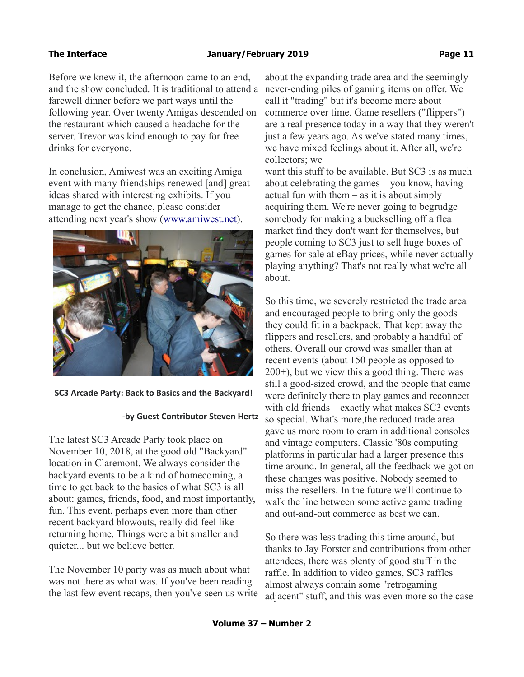Before we knew it, the afternoon came to an end, and the show concluded. It is traditional to attend a farewell dinner before we part ways until the following year. Over twenty Amigas descended on the restaurant which caused a headache for the server. Trevor was kind enough to pay for free drinks for everyone.

In conclusion, Amiwest was an exciting Amiga event with many friendships renewed [and] great ideas shared with interesting exhibits. If you manage to get the chance, please consider attending next year's show [\(www.amiwest.net\)](http://www.amiwest.net/).



**SC3 Arcade Party: Back to Basics and the Backyard!**

## **-by Guest Contributor Steven Hertz**

The latest SC3 Arcade Party took place on November 10, 2018, at the good old "Backyard" location in Claremont. We always consider the backyard events to be a kind of homecoming, a time to get back to the basics of what SC3 is all about: games, friends, food, and most importantly, fun. This event, perhaps even more than other recent backyard blowouts, really did feel like returning home. Things were a bit smaller and quieter... but we believe better.

The November 10 party was as much about what was not there as what was. If you've been reading the last few event recaps, then you've seen us write

about the expanding trade area and the seemingly never-ending piles of gaming items on offer. We call it "trading" but it's become more about commerce over time. Game resellers ("flippers") are a real presence today in a way that they weren't just a few years ago. As we've stated many times, we have mixed feelings about it. After all, we're collectors; we

want this stuff to be available. But SC3 is as much about celebrating the games – you know, having actual fun with them – as it is about simply acquiring them. We're never going to begrudge somebody for making a buckselling off a flea market find they don't want for themselves, but people coming to SC3 just to sell huge boxes of games for sale at eBay prices, while never actually playing anything? That's not really what we're all about.

So this time, we severely restricted the trade area and encouraged people to bring only the goods they could fit in a backpack. That kept away the flippers and resellers, and probably a handful of others. Overall our crowd was smaller than at recent events (about 150 people as opposed to 200+), but we view this a good thing. There was still a good-sized crowd, and the people that came were definitely there to play games and reconnect with old friends – exactly what makes SC3 events so special. What's more,the reduced trade area gave us more room to cram in additional consoles and vintage computers. Classic '80s computing platforms in particular had a larger presence this time around. In general, all the feedback we got on these changes was positive. Nobody seemed to miss the resellers. In the future we'll continue to walk the line between some active game trading and out-and-out commerce as best we can.

So there was less trading this time around, but thanks to Jay Forster and contributions from other attendees, there was plenty of good stuff in the raffle. In addition to video games, SC3 raffles almost always contain some "retrogaming adjacent" stuff, and this was even more so the case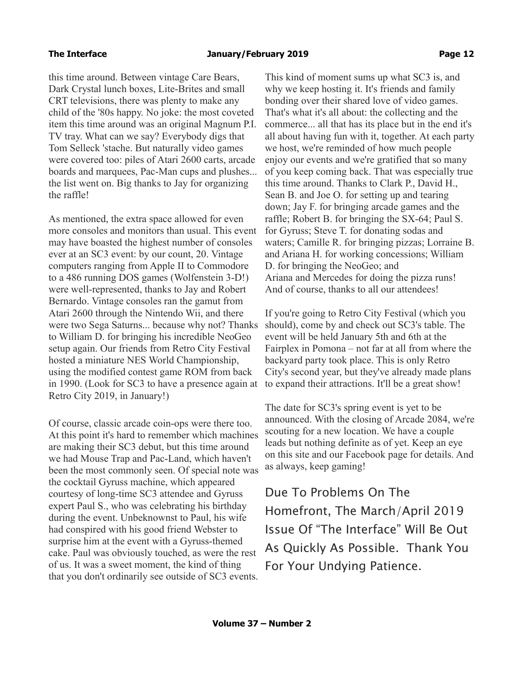this time around. Between vintage Care Bears, Dark Crystal lunch boxes, Lite-Brites and small CRT televisions, there was plenty to make any child of the '80s happy. No joke: the most coveted item this time around was an original Magnum P.I. TV tray. What can we say? Everybody digs that Tom Selleck 'stache. But naturally video games were covered too: piles of Atari 2600 carts, arcade boards and marquees, Pac-Man cups and plushes... the list went on. Big thanks to Jay for organizing the raffle!

As mentioned, the extra space allowed for even more consoles and monitors than usual. This event may have boasted the highest number of consoles ever at an SC3 event: by our count, 20. Vintage computers ranging from Apple II to Commodore to a 486 running DOS games (Wolfenstein 3-D!) were well-represented, thanks to Jay and Robert Bernardo. Vintage consoles ran the gamut from Atari 2600 through the Nintendo Wii, and there were two Sega Saturns... because why not? Thanks to William D. for bringing his incredible NeoGeo setup again. Our friends from Retro City Festival hosted a miniature NES World Championship, using the modified contest game ROM from back in 1990. (Look for SC3 to have a presence again at Retro City 2019, in January!)

Of course, classic arcade coin-ops were there too. At this point it's hard to remember which machines are making their SC3 debut, but this time around we had Mouse Trap and Pac-Land, which haven't been the most commonly seen. Of special note was the cocktail Gyruss machine, which appeared courtesy of long-time SC3 attendee and Gyruss expert Paul S., who was celebrating his birthday during the event. Unbeknownst to Paul, his wife had conspired with his good friend Webster to surprise him at the event with a Gyruss-themed cake. Paul was obviously touched, as were the rest of us. It was a sweet moment, the kind of thing that you don't ordinarily see outside of SC3 events.

This kind of moment sums up what SC3 is, and why we keep hosting it. It's friends and family bonding over their shared love of video games. That's what it's all about: the collecting and the commerce... all that has its place but in the end it's all about having fun with it, together. At each party we host, we're reminded of how much people enjoy our events and we're gratified that so many of you keep coming back. That was especially true this time around. Thanks to Clark P., David H., Sean B. and Joe O. for setting up and tearing down; Jay F. for bringing arcade games and the raffle; Robert B. for bringing the SX-64; Paul S. for Gyruss; Steve T. for donating sodas and waters; Camille R. for bringing pizzas; Lorraine B. and Ariana H. for working concessions; William D. for bringing the NeoGeo; and Ariana and Mercedes for doing the pizza runs! And of course, thanks to all our attendees!

If you're going to Retro City Festival (which you should), come by and check out SC3's table. The event will be held January 5th and 6th at the Fairplex in Pomona – not far at all from where the backyard party took place. This is only Retro City's second year, but they've already made plans to expand their attractions. It'll be a great show!

The date for SC3's spring event is yet to be announced. With the closing of Arcade 2084, we're scouting for a new location. We have a couple leads but nothing definite as of yet. Keep an eye on this site and our Facebook page for details. And as always, keep gaming!

Due To Problems On The Homefront, The March/April 2019 Issue Of "The Interface" Will Be Out As Quickly As Possible. Thank You For Your Undying Patience.